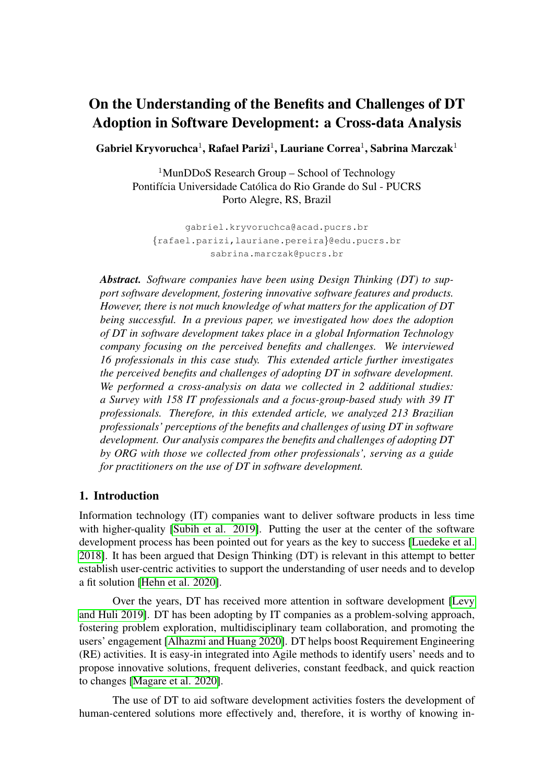# On the Understanding of the Benefits and Challenges of DT Adoption in Software Development: a Cross-data Analysis

Gabriel Kryvoruchca $^1$ , Rafael Parizi $^1$ , Lauriane Correa $^1$ , Sabrina Marczak $^1$ 

 $1$ MunDDoS Research Group – School of Technology Pontifícia Universidade Católica do Rio Grande do Sul - PUCRS Porto Alegre, RS, Brazil

gabriel.kryvoruchca@acad.pucrs.br {rafael.parizi,lauriane.pereira}@edu.pucrs.br sabrina.marczak@pucrs.br

*Abstract. Software companies have been using Design Thinking (DT) to support software development, fostering innovative software features and products. However, there is not much knowledge of what matters for the application of DT being successful. In a previous paper, we investigated how does the adoption of DT in software development takes place in a global Information Technology company focusing on the perceived benefits and challenges. We interviewed 16 professionals in this case study. This extended article further investigates the perceived benefits and challenges of adopting DT in software development. We performed a cross-analysis on data we collected in 2 additional studies: a Survey with 158 IT professionals and a focus-group-based study with 39 IT professionals. Therefore, in this extended article, we analyzed 213 Brazilian professionals' perceptions of the benefits and challenges of using DT in software development. Our analysis compares the benefits and challenges of adopting DT by ORG with those we collected from other professionals', serving as a guide for practitioners on the use of DT in software development.*

### 1. Introduction

Information technology (IT) companies want to deliver software products in less time with higher-quality [\[Subih et al. 2019\]](#page-8-0). Putting the user at the center of the software development process has been pointed out for years as the key to success [\[Luedeke et al.](#page-8-1) [2018\]](#page-8-1). It has been argued that Design Thinking (DT) is relevant in this attempt to better establish user-centric activities to support the understanding of user needs and to develop a fit solution [\[Hehn et al. 2020\]](#page-7-0).

Over the years, DT has received more attention in software development [\[Levy](#page-8-2) [and Huli 2019\]](#page-8-2). DT has been adopting by IT companies as a problem-solving approach, fostering problem exploration, multidisciplinary team collaboration, and promoting the users' engagement [\[Alhazmi and Huang 2020\]](#page-7-1). DT helps boost Requirement Engineering (RE) activities. It is easy-in integrated into Agile methods to identify users' needs and to propose innovative solutions, frequent deliveries, constant feedback, and quick reaction to changes [\[Magare et al. 2020\]](#page-8-3).

The use of DT to aid software development activities fosters the development of human-centered solutions more effectively and, therefore, it is worthy of knowing in-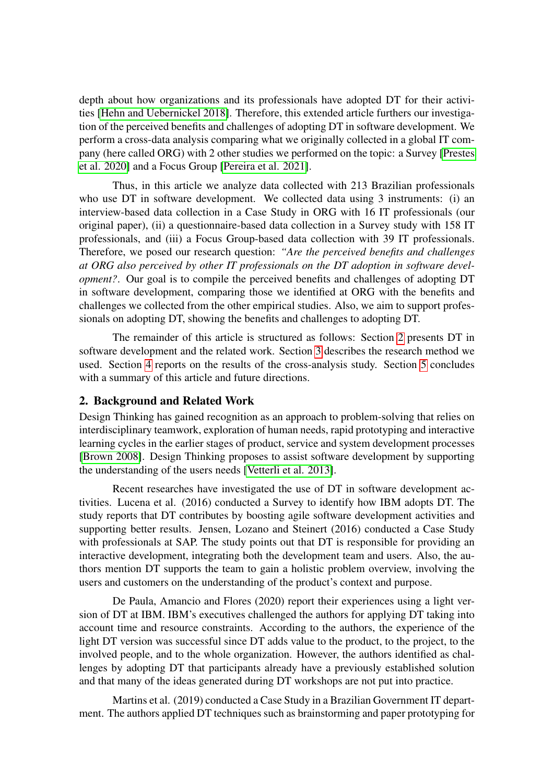depth about how organizations and its professionals have adopted DT for their activities [\[Hehn and Uebernickel 2018\]](#page-7-2). Therefore, this extended article furthers our investigation of the perceived benefits and challenges of adopting DT in software development. We perform a cross-data analysis comparing what we originally collected in a global IT company (here called ORG) with 2 other studies we performed on the topic: a Survey [\[Prestes](#page-8-4) [et al. 2020\]](#page-8-4) and a Focus Group [\[Pereira et al. 2021\]](#page-8-5).

Thus, in this article we analyze data collected with 213 Brazilian professionals who use DT in software development. We collected data using 3 instruments: (i) an interview-based data collection in a Case Study in ORG with 16 IT professionals (our original paper), (ii) a questionnaire-based data collection in a Survey study with 158 IT professionals, and (iii) a Focus Group-based data collection with 39 IT professionals. Therefore, we posed our research question: *"Are the perceived benefits and challenges at ORG also perceived by other IT professionals on the DT adoption in software development?*. Our goal is to compile the perceived benefits and challenges of adopting DT in software development, comparing those we identified at ORG with the benefits and challenges we collected from the other empirical studies. Also, we aim to support professionals on adopting DT, showing the benefits and challenges to adopting DT.

The remainder of this article is structured as follows: Section [2](#page-1-0) presents DT in software development and the related work. Section [3](#page-2-0) describes the research method we used. Section [4](#page-4-0) reports on the results of the cross-analysis study. Section [5](#page-6-0) concludes with a summary of this article and future directions.

#### <span id="page-1-0"></span>2. Background and Related Work

Design Thinking has gained recognition as an approach to problem-solving that relies on interdisciplinary teamwork, exploration of human needs, rapid prototyping and interactive learning cycles in the earlier stages of product, service and system development processes [\[Brown 2008\]](#page-7-3). Design Thinking proposes to assist software development by supporting the understanding of the users needs [\[Vetterli et al. 2013\]](#page-8-6).

Recent researches have investigated the use of DT in software development activities. Lucena et al. (2016) conducted a Survey to identify how IBM adopts DT. The study reports that DT contributes by boosting agile software development activities and supporting better results. Jensen, Lozano and Steinert (2016) conducted a Case Study with professionals at SAP. The study points out that DT is responsible for providing an interactive development, integrating both the development team and users. Also, the authors mention DT supports the team to gain a holistic problem overview, involving the users and customers on the understanding of the product's context and purpose.

De Paula, Amancio and Flores (2020) report their experiences using a light version of DT at IBM. IBM's executives challenged the authors for applying DT taking into account time and resource constraints. According to the authors, the experience of the light DT version was successful since DT adds value to the product, to the project, to the involved people, and to the whole organization. However, the authors identified as challenges by adopting DT that participants already have a previously established solution and that many of the ideas generated during DT workshops are not put into practice.

Martins et al. (2019) conducted a Case Study in a Brazilian Government IT department. The authors applied DT techniques such as brainstorming and paper prototyping for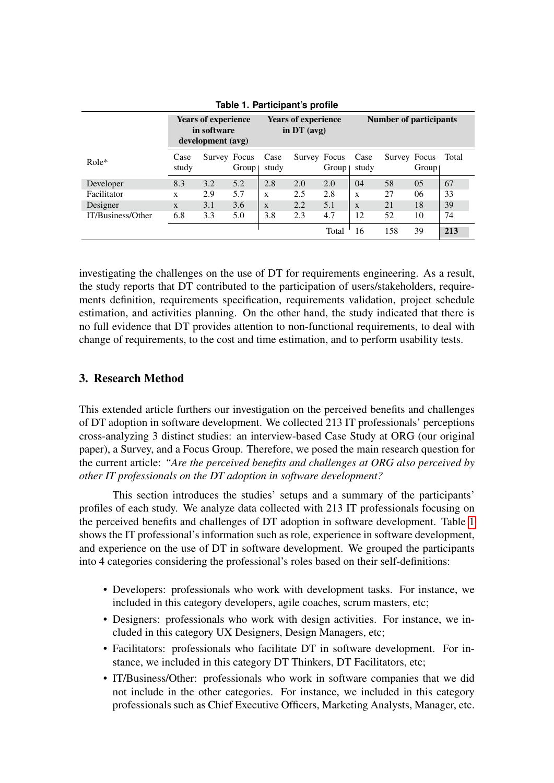|                   | <b>Years of experience</b><br>in software<br>development (avg) |              | <b>Years of experience</b><br>in $DT$ (avg) |               |              | <b>Number of participants</b> |               |              |       |       |
|-------------------|----------------------------------------------------------------|--------------|---------------------------------------------|---------------|--------------|-------------------------------|---------------|--------------|-------|-------|
| $Role*$           | Case<br>study                                                  | Survey Focus | Group                                       | Case<br>study | Survey Focus | Group                         | Case<br>study | Survey Focus | Group | Total |
| Developer         | 8.3                                                            | 3.2          | 5.2                                         | 2.8           | 2.0          | 2.0                           | 04            | 58           | 05    | 67    |
| Facilitator       | X                                                              | 2.9          | 5.7                                         | X             | 2.5          | 2.8                           | X             | 27           | 06    | 33    |
| Designer          | $\mathbf{x}$                                                   | 3.1          | 3.6                                         | $\mathbf{X}$  | 2.2          | 5.1                           | $\mathbf{x}$  | 21           | 18    | 39    |
| IT/Business/Other | 6.8                                                            | 3.3          | 5.0                                         | 3.8           | 2.3          | 4.7                           | 12            | 52           | 10    | 74    |
|                   |                                                                |              |                                             |               |              | Total                         | 16            | 158          | 39    | 213   |

<span id="page-2-1"></span>**Table 1. Participant's profile**

investigating the challenges on the use of DT for requirements engineering. As a result, the study reports that DT contributed to the participation of users/stakeholders, requirements definition, requirements specification, requirements validation, project schedule estimation, and activities planning. On the other hand, the study indicated that there is no full evidence that DT provides attention to non-functional requirements, to deal with change of requirements, to the cost and time estimation, and to perform usability tests.

## <span id="page-2-0"></span>3. Research Method

This extended article furthers our investigation on the perceived benefits and challenges of DT adoption in software development. We collected 213 IT professionals' perceptions cross-analyzing 3 distinct studies: an interview-based Case Study at ORG (our original paper), a Survey, and a Focus Group. Therefore, we posed the main research question for the current article: *"Are the perceived benefits and challenges at ORG also perceived by other IT professionals on the DT adoption in software development?*

This section introduces the studies' setups and a summary of the participants' profiles of each study. We analyze data collected with 213 IT professionals focusing on the perceived benefits and challenges of DT adoption in software development. Table [1](#page-2-1) shows the IT professional's information such as role, experience in software development, and experience on the use of DT in software development. We grouped the participants into 4 categories considering the professional's roles based on their self-definitions:

- Developers: professionals who work with development tasks. For instance, we included in this category developers, agile coaches, scrum masters, etc;
- Designers: professionals who work with design activities. For instance, we included in this category UX Designers, Design Managers, etc;
- Facilitators: professionals who facilitate DT in software development. For instance, we included in this category DT Thinkers, DT Facilitators, etc;
- IT/Business/Other: professionals who work in software companies that we did not include in the other categories. For instance, we included in this category professionals such as Chief Executive Officers, Marketing Analysts, Manager, etc.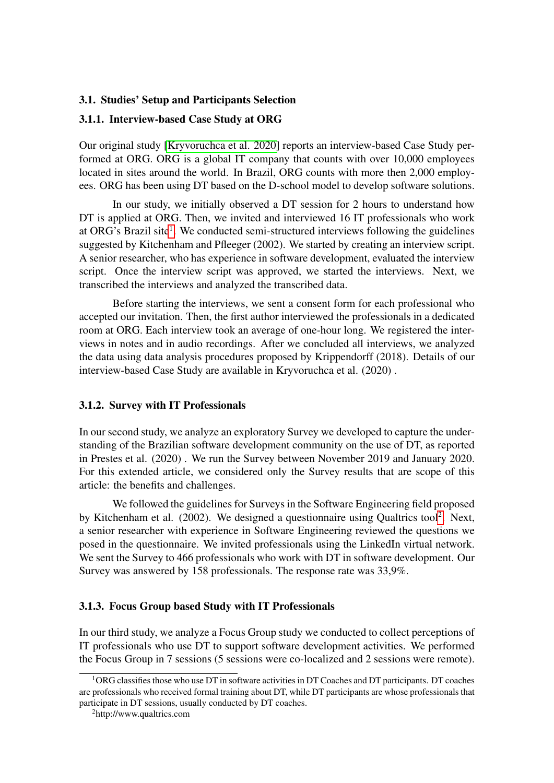#### 3.1. Studies' Setup and Participants Selection

#### 3.1.1. Interview-based Case Study at ORG

Our original study [\[Kryvoruchca et al. 2020\]](#page-8-7) reports an interview-based Case Study performed at ORG. ORG is a global IT company that counts with over 10,000 employees located in sites around the world. In Brazil, ORG counts with more then 2,000 employees. ORG has been using DT based on the D-school model to develop software solutions.

In our study, we initially observed a DT session for 2 hours to understand how DT is applied at ORG. Then, we invited and interviewed 16 IT professionals who work at ORG's Brazil site<sup>[1](#page-3-0)</sup>. We conducted semi-structured interviews following the guidelines suggested by Kitchenham and Pfleeger (2002). We started by creating an interview script. A senior researcher, who has experience in software development, evaluated the interview script. Once the interview script was approved, we started the interviews. Next, we transcribed the interviews and analyzed the transcribed data.

Before starting the interviews, we sent a consent form for each professional who accepted our invitation. Then, the first author interviewed the professionals in a dedicated room at ORG. Each interview took an average of one-hour long. We registered the interviews in notes and in audio recordings. After we concluded all interviews, we analyzed the data using data analysis procedures proposed by Krippendorff (2018). Details of our interview-based Case Study are available in Kryvoruchca et al. (2020) .

#### 3.1.2. Survey with IT Professionals

In our second study, we analyze an exploratory Survey we developed to capture the understanding of the Brazilian software development community on the use of DT, as reported in Prestes et al. (2020) . We run the Survey between November 2019 and January 2020. For this extended article, we considered only the Survey results that are scope of this article: the benefits and challenges.

We followed the guidelines for Surveys in the Software Engineering field proposed by Kitchenham et al.  $(2002)$  $(2002)$  $(2002)$ . We designed a questionnaire using Qualtrics tool<sup>2</sup>. Next, a senior researcher with experience in Software Engineering reviewed the questions we posed in the questionnaire. We invited professionals using the LinkedIn virtual network. We sent the Survey to 466 professionals who work with DT in software development. Our Survey was answered by 158 professionals. The response rate was 33,9%.

## 3.1.3. Focus Group based Study with IT Professionals

In our third study, we analyze a Focus Group study we conducted to collect perceptions of IT professionals who use DT to support software development activities. We performed the Focus Group in 7 sessions (5 sessions were co-localized and 2 sessions were remote).

<span id="page-3-0"></span><sup>1</sup>ORG classifies those who use DT in software activities in DT Coaches and DT participants. DT coaches are professionals who received formal training about DT, while DT participants are whose professionals that participate in DT sessions, usually conducted by DT coaches.

<span id="page-3-1"></span><sup>2</sup>http://www.qualtrics.com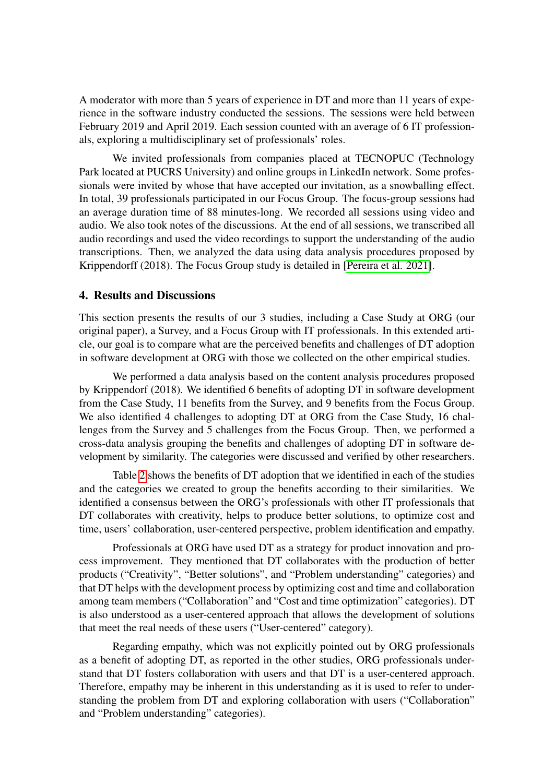A moderator with more than 5 years of experience in DT and more than 11 years of experience in the software industry conducted the sessions. The sessions were held between February 2019 and April 2019. Each session counted with an average of 6 IT professionals, exploring a multidisciplinary set of professionals' roles.

We invited professionals from companies placed at TECNOPUC (Technology Park located at PUCRS University) and online groups in LinkedIn network. Some professionals were invited by whose that have accepted our invitation, as a snowballing effect. In total, 39 professionals participated in our Focus Group. The focus-group sessions had an average duration time of 88 minutes-long. We recorded all sessions using video and audio. We also took notes of the discussions. At the end of all sessions, we transcribed all audio recordings and used the video recordings to support the understanding of the audio transcriptions. Then, we analyzed the data using data analysis procedures proposed by Krippendorff (2018). The Focus Group study is detailed in [\[Pereira et al. 2021\]](#page-8-5).

#### <span id="page-4-0"></span>4. Results and Discussions

This section presents the results of our 3 studies, including a Case Study at ORG (our original paper), a Survey, and a Focus Group with IT professionals. In this extended article, our goal is to compare what are the perceived benefits and challenges of DT adoption in software development at ORG with those we collected on the other empirical studies.

We performed a data analysis based on the content analysis procedures proposed by Krippendorf (2018). We identified 6 benefits of adopting DT in software development from the Case Study, 11 benefits from the Survey, and 9 benefits from the Focus Group. We also identified 4 challenges to adopting DT at ORG from the Case Study, 16 challenges from the Survey and 5 challenges from the Focus Group. Then, we performed a cross-data analysis grouping the benefits and challenges of adopting DT in software development by similarity. The categories were discussed and verified by other researchers.

Table [2](#page-5-0) shows the benefits of DT adoption that we identified in each of the studies and the categories we created to group the benefits according to their similarities. We identified a consensus between the ORG's professionals with other IT professionals that DT collaborates with creativity, helps to produce better solutions, to optimize cost and time, users' collaboration, user-centered perspective, problem identification and empathy.

Professionals at ORG have used DT as a strategy for product innovation and process improvement. They mentioned that DT collaborates with the production of better products ("Creativity", "Better solutions", and "Problem understanding" categories) and that DT helps with the development process by optimizing cost and time and collaboration among team members ("Collaboration" and "Cost and time optimization" categories). DT is also understood as a user-centered approach that allows the development of solutions that meet the real needs of these users ("User-centered" category).

Regarding empathy, which was not explicitly pointed out by ORG professionals as a benefit of adopting DT, as reported in the other studies, ORG professionals understand that DT fosters collaboration with users and that DT is a user-centered approach. Therefore, empathy may be inherent in this understanding as it is used to refer to understanding the problem from DT and exploring collaboration with users ("Collaboration" and "Problem understanding" categories).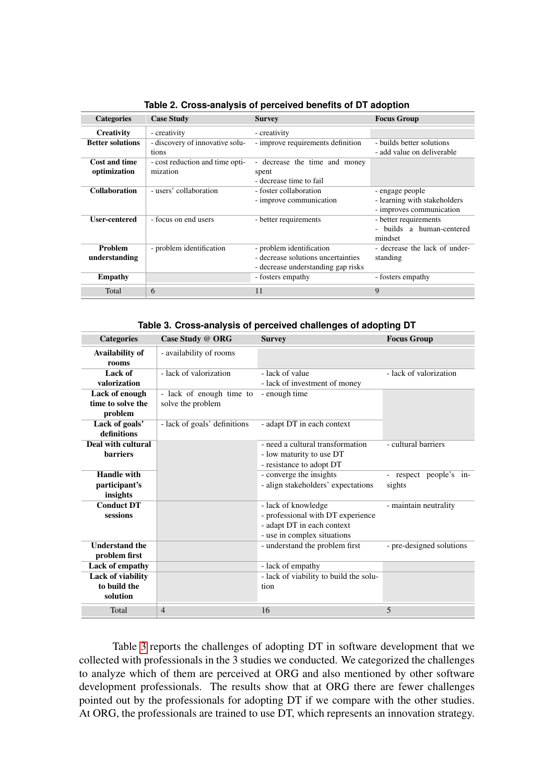| <b>Categories</b>                            | <b>Case Study</b>                                        | <b>Survey</b>                                                                                        | <b>Focus Group</b>                                                          |
|----------------------------------------------|----------------------------------------------------------|------------------------------------------------------------------------------------------------------|-----------------------------------------------------------------------------|
| <b>Creativity</b><br><b>Better solutions</b> | - creativity<br>- discovery of innovative solu-<br>tions | - creativity<br>- improve requirements definition                                                    | - builds better solutions<br>- add value on deliverable                     |
| <b>Cost and time</b><br>optimization         | - cost reduction and time opti-<br>mization              | - decrease the time and money<br>spent<br>- decrease time to fail                                    |                                                                             |
| <b>Collaboration</b>                         | - users' collaboration                                   | - foster collaboration<br>- improve communication                                                    | - engage people<br>- learning with stakeholders<br>- improves communication |
| <b>User-centered</b>                         | - focus on end users                                     | - better requirements                                                                                | - better requirements<br>- builds a human-centered<br>mindset               |
| <b>Problem</b><br>understanding              | - problem identification                                 | - problem identification<br>- decrease solutions uncertainties<br>- decrease understanding gap risks | - decrease the lack of under-<br>standing                                   |
| <b>Empathy</b>                               |                                                          | - fosters empathy                                                                                    | - fosters empathy                                                           |
| Total                                        | 6                                                        | 11                                                                                                   | 9                                                                           |

<span id="page-5-0"></span>**Table 2. Cross-analysis of perceived benefits of DT adoption**

<span id="page-5-1"></span>**Table 3. Cross-analysis of perceived challenges of adopting DT**

| <b>Categories</b>                                                       | Case Study @ ORG                              | <b>Survey</b>                                                                                                         | <b>Focus Group</b>               |
|-------------------------------------------------------------------------|-----------------------------------------------|-----------------------------------------------------------------------------------------------------------------------|----------------------------------|
| Availability of<br>rooms                                                | - availability of rooms                       |                                                                                                                       |                                  |
| Lack of<br>valorization                                                 | - lack of valorization                        | - lack of value<br>- lack of investment of money                                                                      | - lack of valorization           |
| Lack of enough<br>time to solve the<br>problem                          | - lack of enough time to<br>solve the problem | - enough time                                                                                                         |                                  |
| Lack of goals'<br>definitions                                           | - lack of goals' definitions                  | - adapt DT in each context                                                                                            |                                  |
| Deal with cultural<br><b>barriers</b>                                   |                                               | - need a cultural transformation<br>- low maturity to use DT<br>- resistance to adopt DT                              | - cultural barriers              |
| <b>Handle with</b><br>participant's<br>insights                         |                                               | - converge the insights<br>- align stakeholders' expectations                                                         | - respect people's in-<br>sights |
| <b>Conduct DT</b><br>sessions                                           |                                               | - lack of knowledge<br>- professional with DT experience<br>- adapt DT in each context<br>- use in complex situations | - maintain neutrality            |
| <b>Understand the</b><br>problem first                                  |                                               | - understand the problem first                                                                                        | - pre-designed solutions         |
| Lack of empathy<br><b>Lack of viability</b><br>to build the<br>solution |                                               | - lack of empathy<br>- lack of viability to build the solu-<br>tion                                                   |                                  |
| Total                                                                   | $\overline{4}$                                | 16                                                                                                                    | 5                                |

Table [3](#page-5-1) reports the challenges of adopting DT in software development that we collected with professionals in the 3 studies we conducted. We categorized the challenges to analyze which of them are perceived at ORG and also mentioned by other software development professionals. The results show that at ORG there are fewer challenges pointed out by the professionals for adopting DT if we compare with the other studies. At ORG, the professionals are trained to use DT, which represents an innovation strategy.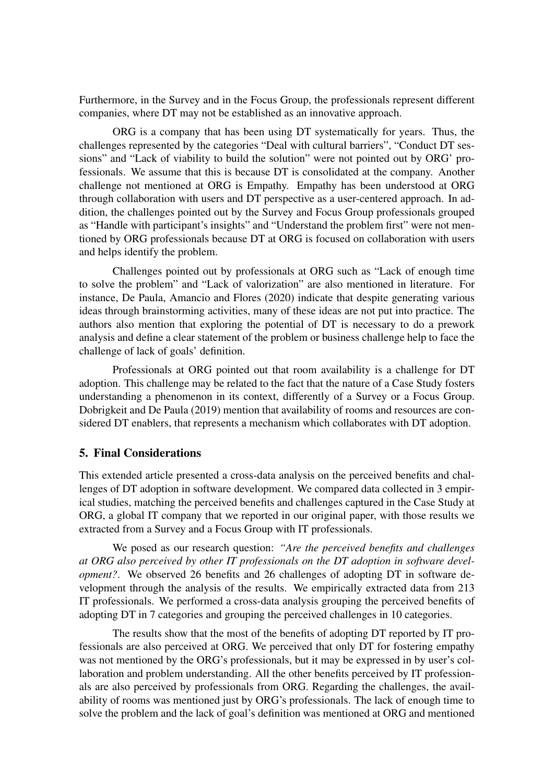Furthermore, in the Survey and in the Focus Group, the professionals represent different companies, where DT may not be established as an innovative approach.

ORG is a company that has been using DT systematically for years. Thus, the challenges represented by the categories "Deal with cultural barriers", "Conduct DT sessions" and "Lack of viability to build the solution" were not pointed out by ORG' professionals. We assume that this is because DT is consolidated at the company. Another challenge not mentioned at ORG is Empathy. Empathy has been understood at ORG through collaboration with users and DT perspective as a user-centered approach. In addition, the challenges pointed out by the Survey and Focus Group professionals grouped as "Handle with participant's insights" and "Understand the problem first" were not mentioned by ORG professionals because DT at ORG is focused on collaboration with users and helps identify the problem.

Challenges pointed out by professionals at ORG such as "Lack of enough time to solve the problem" and "Lack of valorization" are also mentioned in literature. For instance, De Paula, Amancio and Flores (2020) indicate that despite generating various ideas through brainstorming activities, many of these ideas are not put into practice. The authors also mention that exploring the potential of DT is necessary to do a prework analysis and define a clear statement of the problem or business challenge help to face the challenge of lack of goals' definition.

Professionals at ORG pointed out that room availability is a challenge for DT adoption. This challenge may be related to the fact that the nature of a Case Study fosters understanding a phenomenon in its context, differently of a Survey or a Focus Group. Dobrigkeit and De Paula (2019) mention that availability of rooms and resources are considered DT enablers, that represents a mechanism which collaborates with DT adoption.

### <span id="page-6-0"></span>5. Final Considerations

This extended article presented a cross-data analysis on the perceived benefits and challenges of DT adoption in software development. We compared data collected in 3 empirical studies, matching the perceived benefits and challenges captured in the Case Study at ORG, a global IT company that we reported in our original paper, with those results we extracted from a Survey and a Focus Group with IT professionals.

We posed as our research question: *"Are the perceived benefits and challenges at ORG also perceived by other IT professionals on the DT adoption in software development?*. We observed 26 benefits and 26 challenges of adopting DT in software development through the analysis of the results. We empirically extracted data from 213 IT professionals. We performed a cross-data analysis grouping the perceived benefits of adopting DT in 7 categories and grouping the perceived challenges in 10 categories.

The results show that the most of the benefits of adopting DT reported by IT professionals are also perceived at ORG. We perceived that only DT for fostering empathy was not mentioned by the ORG's professionals, but it may be expressed in by user's collaboration and problem understanding. All the other benefits perceived by IT professionals are also perceived by professionals from ORG. Regarding the challenges, the availability of rooms was mentioned just by ORG's professionals. The lack of enough time to solve the problem and the lack of goal's definition was mentioned at ORG and mentioned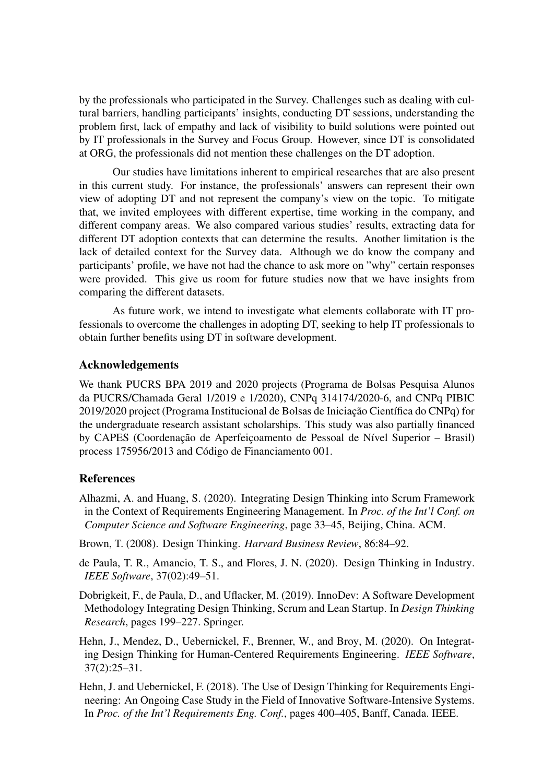by the professionals who participated in the Survey. Challenges such as dealing with cultural barriers, handling participants' insights, conducting DT sessions, understanding the problem first, lack of empathy and lack of visibility to build solutions were pointed out by IT professionals in the Survey and Focus Group. However, since DT is consolidated at ORG, the professionals did not mention these challenges on the DT adoption.

Our studies have limitations inherent to empirical researches that are also present in this current study. For instance, the professionals' answers can represent their own view of adopting DT and not represent the company's view on the topic. To mitigate that, we invited employees with different expertise, time working in the company, and different company areas. We also compared various studies' results, extracting data for different DT adoption contexts that can determine the results. Another limitation is the lack of detailed context for the Survey data. Although we do know the company and participants' profile, we have not had the chance to ask more on "why" certain responses were provided. This give us room for future studies now that we have insights from comparing the different datasets.

As future work, we intend to investigate what elements collaborate with IT professionals to overcome the challenges in adopting DT, seeking to help IT professionals to obtain further benefits using DT in software development.

#### Acknowledgements

We thank PUCRS BPA 2019 and 2020 projects (Programa de Bolsas Pesquisa Alunos da PUCRS/Chamada Geral 1/2019 e 1/2020), CNPq 314174/2020-6, and CNPq PIBIC 2019/2020 project (Programa Institucional de Bolsas de Iniciação Científica do CNPq) for the undergraduate research assistant scholarships. This study was also partially financed by CAPES (Coordenação de Aperfeiçoamento de Pessoal de Nível Superior – Brasil) process 175956/2013 and Código de Financiamento 001.

#### References

- <span id="page-7-1"></span>Alhazmi, A. and Huang, S. (2020). Integrating Design Thinking into Scrum Framework in the Context of Requirements Engineering Management. In *Proc. of the Int'l Conf. on Computer Science and Software Engineering*, page 33–45, Beijing, China. ACM.
- <span id="page-7-3"></span>Brown, T. (2008). Design Thinking. *Harvard Business Review*, 86:84–92.
- de Paula, T. R., Amancio, T. S., and Flores, J. N. (2020). Design Thinking in Industry. *IEEE Software*, 37(02):49–51.
- Dobrigkeit, F., de Paula, D., and Uflacker, M. (2019). InnoDev: A Software Development Methodology Integrating Design Thinking, Scrum and Lean Startup. In *Design Thinking Research*, pages 199–227. Springer.
- <span id="page-7-0"></span>Hehn, J., Mendez, D., Uebernickel, F., Brenner, W., and Broy, M. (2020). On Integrating Design Thinking for Human-Centered Requirements Engineering. *IEEE Software*, 37(2):25–31.
- <span id="page-7-2"></span>Hehn, J. and Uebernickel, F. (2018). The Use of Design Thinking for Requirements Engineering: An Ongoing Case Study in the Field of Innovative Software-Intensive Systems. In *Proc. of the Int'l Requirements Eng. Conf.*, pages 400–405, Banff, Canada. IEEE.